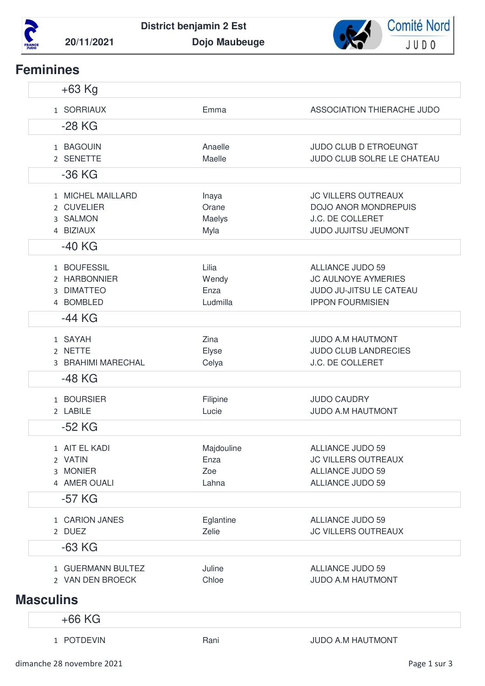



## **Feminines**

| $+63$ Kg           |            |                              |
|--------------------|------------|------------------------------|
| 1 SORRIAUX         | Emma       | ASSOCIATION THIERACHE JUDO   |
| $-28$ KG           |            |                              |
| 1 BAGOUIN          | Anaelle    | <b>JUDO CLUB D ETROEUNGT</b> |
| 2 SENETTE          | Maelle     | JUDO CLUB SOLRE LE CHATEAU   |
| $-36$ KG           |            |                              |
| 1 MICHEL MAILLARD  | Inaya      | <b>JC VILLERS OUTREAUX</b>   |
| 2 CUVELIER         | Orane      | <b>DOJO ANOR MONDREPUIS</b>  |
| 3 SALMON           | Maelys     | J.C. DE COLLERET             |
| 4 BIZIAUX          | Myla       | JUDO JUJITSU JEUMONT         |
| $-40$ KG           |            |                              |
| 1 BOUFESSIL        | Lilia      | <b>ALLIANCE JUDO 59</b>      |
| 2 HARBONNIER       | Wendy      | <b>JC AULNOYE AYMERIES</b>   |
| 3 DIMATTEO         | Enza       | JUDO JU-JITSU LE CATEAU      |
| 4 BOMBLED          | Ludmilla   | <b>IPPON FOURMISIEN</b>      |
| $-44$ KG           |            |                              |
| 1 SAYAH            | Zina       | <b>JUDO A.M HAUTMONT</b>     |
| 2 NETTE            | Elyse      | <b>JUDO CLUB LANDRECIES</b>  |
| 3 BRAHIMI MARECHAL | Celya      | J.C. DE COLLERET             |
| $-48$ KG           |            |                              |
| 1 BOURSIER         | Filipine   | <b>JUDO CAUDRY</b>           |
| 2 LABILE           | Lucie      | JUDO A.M HAUTMONT            |
| $-52$ KG           |            |                              |
| 1 AIT EL KADI      | Majdouline | ALLIANCE JUDO 59             |
| 2 VATIN            | Enza       | <b>JC VILLERS OUTREAUX</b>   |
| 3 MONIER           | Zoe        | <b>ALLIANCE JUDO 59</b>      |
| 4 AMER OUALI       | Lahna      | <b>ALLIANCE JUDO 59</b>      |
| $-57$ KG           |            |                              |
| 1 CARION JANES     | Eglantine  | <b>ALLIANCE JUDO 59</b>      |
| 2 DUEZ             | Zelie      | <b>JC VILLERS OUTREAUX</b>   |
| $-63$ KG           |            |                              |
| 1 GUERMANN BULTEZ  | Juline     | <b>ALLIANCE JUDO 59</b>      |
| 2 VAN DEN BROECK   | Chloe      | JUDO A.M HAUTMONT            |
| <b>Masculins</b>   |            |                              |
|                    |            |                              |
| $+66$ KG           |            |                              |
| 1 POTDEVIN         | Rani       | JUDO A.M HAUTMONT            |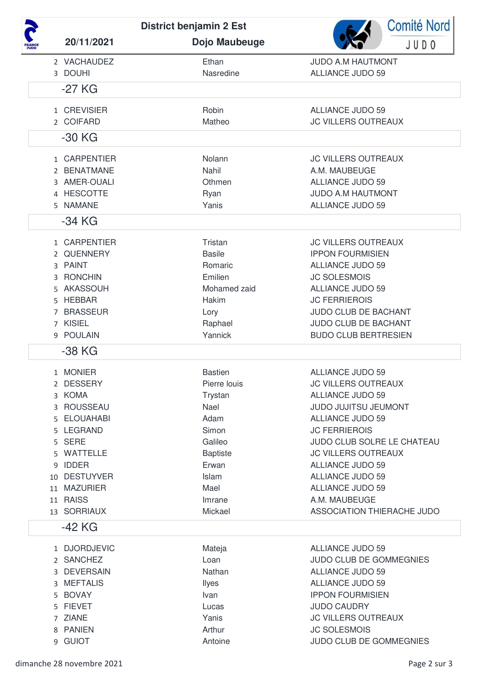|                |                             | <b>District benjamin 2 Est</b> | <b>Comité Nord</b>                              |
|----------------|-----------------------------|--------------------------------|-------------------------------------------------|
| FRANCE<br>7UDO | 20/11/2021                  | Dojo Maubeuge                  | JUDO                                            |
|                | 2 VACHAUDEZ                 | Ethan                          | <b>JUDO A.M HAUTMONT</b>                        |
|                | 3 DOUHI                     | Nasredine                      | <b>ALLIANCE JUDO 59</b>                         |
|                | $-27$ KG                    |                                |                                                 |
|                | 1 CREVISIER                 | Robin                          | <b>ALLIANCE JUDO 59</b>                         |
|                | 2 COIFARD                   | Matheo                         | <b>JC VILLERS OUTREAUX</b>                      |
|                | $-30$ KG                    |                                |                                                 |
|                | 1 CARPENTIER                | Nolann                         | <b>JC VILLERS OUTREAUX</b>                      |
|                | 2 BENATMANE<br>3 AMER-OUALI | Nahil<br>Othmen                | A.M. MAUBEUGE<br><b>ALLIANCE JUDO 59</b>        |
|                | 4 HESCOTTE                  | Ryan                           | <b>JUDO A.M HAUTMONT</b>                        |
|                | 5 NAMANE                    | Yanis                          | <b>ALLIANCE JUDO 59</b>                         |
|                | -34 KG                      |                                |                                                 |
|                | 1 CARPENTIER                | Tristan                        | <b>JC VILLERS OUTREAUX</b>                      |
|                | 2 QUENNERY                  | <b>Basile</b>                  | <b>IPPON FOURMISIEN</b>                         |
|                | 3 PAINT                     | Romaric                        | <b>ALLIANCE JUDO 59</b>                         |
|                | 3 RONCHIN                   | Emilien                        | <b>JC SOLESMOIS</b>                             |
|                | 5 AKASSOUH                  | Mohamed zaid                   | <b>ALLIANCE JUDO 59</b>                         |
|                | 5 HEBBAR                    | Hakim                          | <b>JC FERRIEROIS</b>                            |
|                | 7 BRASSEUR                  | Lory                           | JUDO CLUB DE BACHANT                            |
|                | 7 KISIEL                    | Raphael                        | JUDO CLUB DE BACHANT                            |
|                | 9 POULAIN                   | Yannick                        | <b>BUDO CLUB BERTRESIEN</b>                     |
|                | $-38$ KG                    |                                |                                                 |
|                | 1 MONIER                    | <b>Bastien</b>                 | <b>ALLIANCE JUDO 59</b>                         |
|                | 2 DESSERY                   | Pierre louis                   | <b>JC VILLERS OUTREAUX</b>                      |
|                | 3 KOMA                      | Trystan                        | <b>ALLIANCE JUDO 59</b>                         |
|                | 3 ROUSSEAU<br>5 ELOUAHABI   | Nael<br>Adam                   | JUDO JUJITSU JEUMONT<br><b>ALLIANCE JUDO 59</b> |
|                | 5 LEGRAND                   | Simon                          | <b>JC FERRIEROIS</b>                            |
|                | 5 SERE                      | Galileo                        | JUDO CLUB SOLRE LE CHATEAU                      |
|                | 5 WATTELLE                  | <b>Baptiste</b>                | <b>JC VILLERS OUTREAUX</b>                      |
|                | 9 IDDER                     | Erwan                          | <b>ALLIANCE JUDO 59</b>                         |
|                | 10 DESTUYVER                | <b>Islam</b>                   | <b>ALLIANCE JUDO 59</b>                         |
|                | 11 MAZURIER                 | Mael                           | <b>ALLIANCE JUDO 59</b>                         |
|                | 11 RAISS                    | Imrane                         | A.M. MAUBEUGE                                   |
|                | 13 SORRIAUX                 | Mickael                        | ASSOCIATION THIERACHE JUDO                      |
|                | -42 KG                      |                                |                                                 |
|                | 1 DJORDJEVIC                | Mateja                         | <b>ALLIANCE JUDO 59</b>                         |
|                | 2 SANCHEZ                   | Loan                           | JUDO CLUB DE GOMMEGNIES                         |
|                | 3 DEVERSAIN                 | Nathan                         | <b>ALLIANCE JUDO 59</b>                         |
|                | 3 MEFTALIS                  | <b>Ilyes</b>                   | ALLIANCE JUDO 59                                |
|                | 5 BOVAY<br>5 FIEVET         | Ivan                           | <b>IPPON FOURMISIEN</b><br><b>JUDO CAUDRY</b>   |
|                | 7 ZIANE                     | Lucas<br>Yanis                 | <b>JC VILLERS OUTREAUX</b>                      |
|                | 8 PANIEN                    | Arthur                         | <b>JC SOLESMOIS</b>                             |
|                | 9 GUIOT                     | Antoine                        | JUDO CLUB DE GOMMEGNIES                         |
|                |                             |                                |                                                 |

 $\overline{1}$